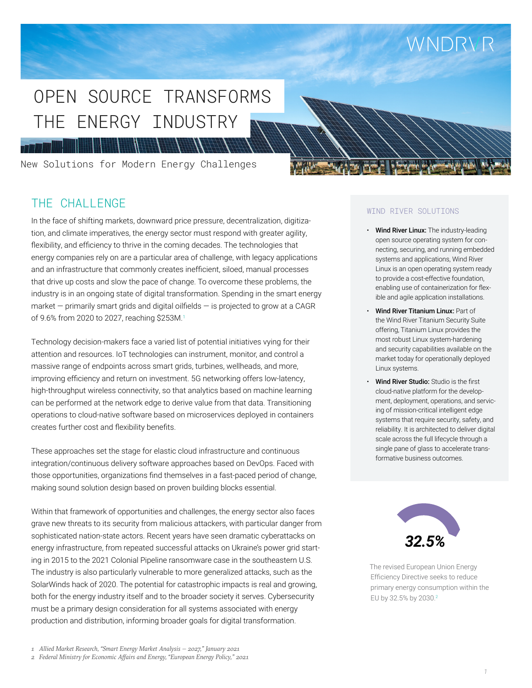# WNDRVR

# THE ENERGY INDUSTRY OPEN SOURCE TRANSFORMS

New Solutions for Modern Energy Challenges

 $\left| \frac{H}{H} \right|$ 

# THE CHALLENGE

**HI FEIN** 

In the face of shifting markets, downward price pressure, decentralization, digitization, and climate imperatives, the energy sector must respond with greater agility, flexibility, and efficiency to thrive in the coming decades. The technologies that energy companies rely on are a particular area of challenge, with legacy applications and an infrastructure that commonly creates inefficient, siloed, manual processes that drive up costs and slow the pace of change. To overcome these problems, the industry is in an ongoing state of digital transformation. Spending in the smart energy market  $-$  primarily smart grids and digital oilfields  $-$  is projected to grow at a CAGR of 9.6% from 2020 to 2027, reaching \$253M.<sup>1</sup>

HANNA HA

Technology decision-makers face a varied list of potential initiatives vying for their attention and resources. IoT technologies can instrument, monitor, and control a massive range of endpoints across smart grids, turbines, wellheads, and more, improving efficiency and return on investment. 5G networking offers low-latency, high-throughput wireless connectivity, so that analytics based on machine learning can be performed at the network edge to derive value from that data. Transitioning operations to cloud-native software based on microservices deployed in containers creates further cost and flexibility benefits.

These approaches set the stage for elastic cloud infrastructure and continuous integration/continuous delivery software approaches based on DevOps. Faced with those opportunities, organizations find themselves in a fast-paced period of change, making sound solution design based on proven building blocks essential.

Within that framework of opportunities and challenges, the energy sector also faces grave new threats to its security from malicious attackers, with particular danger from sophisticated nation-state actors. Recent years have seen dramatic cyberattacks on energy infrastructure, from repeated successful [attacks on Ukraine's power grid](https://www.reuters.com/article/us-ukraine-cyber-attack-energy/ukraines-power-outage-was-a-cyber-attack-ukrenergo-idUSKBN1521BA) starting in 2015 to the 2021 [Colonial Pipeline ransomware case in the southeastern U.S.](https://www.nytimes.com/2021/05/08/us/politics/cyberattack-colonial-pipeline.html) The industry is also [particularly vulnerable](https://www.eenews.net/stories/1063720933) to more generalized attacks, such as the SolarWinds hack of 2020. The potential for catastrophic impacts is real and growing, both for the energy industry itself and to the broader society it serves. Cybersecurity must be a primary design consideration for all systems associated with energy production and distribution, informing broader goals for digital transformation.

### WIND RIVER SOLUTIONS

- Wind River Linux: The industry-leading open source operating system for connecting, securing, and running embedded systems and applications, Wind River Linux is an open operating system ready to provide a cost-effective foundation, enabling use of containerization for flexible and agile application installations.
- Wind River Titanium Linux: Part of the Wind River Titanium Security Suite offering, Titanium Linux provides the most robust Linux system-hardening and security capabilities available on the market today for operationally deployed Linux systems.
- Wind River Studio: Studio is the first cloud-native platform for the development, deployment, operations, and servicing of mission-critical intelligent edge systems that require security, safety, and reliability. It is architected to deliver digital scale across the full lifecycle through a single pane of glass to accelerate transformative business outcomes.



The revised European Union Energy Efficiency Directive seeks to reduce primary energy consumption within the EU by 32.5% by 2030.2

*2 [Federal Ministry for Economic Affairs and Energy, "European Energy Policy," 2021](https://www.bmwi.de/Redaktion/EN/Artikel/Energy/european-energy-policy.html)*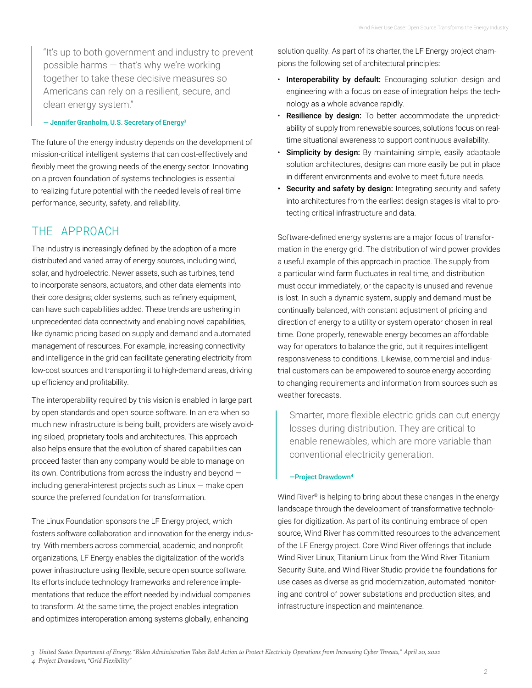"It's up to both government and industry to prevent possible harms — that's why we're working together to take these decisive measures so Americans can rely on a resilient, secure, and clean energy system."

— Jennifer Granholm, U.S. Secretary of Energy3

The future of the energy industry depends on the development of mission-critical intelligent systems that can cost-effectively and flexibly meet the growing needs of the energy sector. Innovating on a proven foundation of systems technologies is essential to realizing future potential with the needed levels of real-time performance, security, safety, and reliability.

# THE APPROACH

The industry is increasingly defined by the adoption of a more distributed and varied array of energy sources, including wind, solar, and hydroelectric. Newer assets, such as turbines, tend to incorporate sensors, actuators, and other data elements into their core designs; older systems, such as refinery equipment, can have such capabilities added. These trends are ushering in unprecedented data connectivity and enabling novel capabilities, like dynamic pricing based on supply and demand and automated management of resources. For example, increasing connectivity and intelligence in the grid can facilitate generating electricity from low-cost sources and transporting it to high-demand areas, driving up efficiency and profitability.

The interoperability required by this vision is enabled in large part by open standards and open source software. In an era when so much new infrastructure is being built, providers are wisely avoiding siloed, proprietary tools and architectures. This approach also helps ensure that the evolution of shared capabilities can proceed faster than any company would be able to manage on its own. Contributions from across the industry and beyond including general-interest projects such as Linux — make open source the preferred foundation for transformation.

The Linux Foundation sponsors the LF Energy project, which fosters software collaboration and innovation for the energy industry. With members across commercial, academic, and nonprofit organizations, LF Energy enables the digitalization of the world's power infrastructure using flexible, secure open source software. Its efforts include technology frameworks and reference implementations that reduce the effort needed by individual companies to transform. At the same time, the project enables integration and optimizes interoperation among systems globally, enhancing

solution quality. As part of its charter, the LF Energy project champions the following set of architectural principles:

- Interoperability by default: Encouraging solution design and engineering with a focus on ease of integration helps the technology as a whole advance rapidly.
- Resilience by design: To better accommodate the unpredictability of supply from renewable sources, solutions focus on realtime situational awareness to support continuous availability.
- Simplicity by design: By maintaining simple, easily adaptable solution architectures, designs can more easily be put in place in different environments and evolve to meet future needs.
- Security and safety by design: Integrating security and safety into architectures from the earliest design stages is vital to protecting critical infrastructure and data.

Software-defined energy systems are a major focus of transformation in the energy grid. The distribution of wind power provides a useful example of this approach in practice. The supply from a particular wind farm fluctuates in real time, and distribution must occur immediately, or the capacity is unused and revenue is lost. In such a dynamic system, supply and demand must be continually balanced, with constant adjustment of pricing and direction of energy to a utility or system operator chosen in real time. Done properly, renewable energy becomes an affordable way for operators to balance the grid, but it requires intelligent responsiveness to conditions. Likewise, commercial and industrial customers can be empowered to source energy according to changing requirements and information from sources such as weather forecasts.

Smarter, more flexible electric grids can cut energy losses during distribution. They are critical to enable renewables, which are more variable than conventional electricity generation.

### —Project Drawdown4

Wind River<sup>®</sup> is helping to bring about these changes in the energy landscape through the development of transformative technologies for digitization. As part of its continuing embrace of open source, Wind River has committed resources to the advancement of the LF Energy project. Core Wind River offerings that include Wind River Linux, Titanium Linux from the Wind River Titanium Security Suite, and Wind River Studio provide the foundations for use cases as diverse as grid modernization, automated monitoring and control of power substations and production sites, and infrastructure inspection and maintenance.

*[<sup>4</sup> Project Drawdown, "Grid Flexibility"](https://www.energy.gov/articles/biden-administration-takes-bold-action-protect-electricity-operations-increasing-cyber-0)*